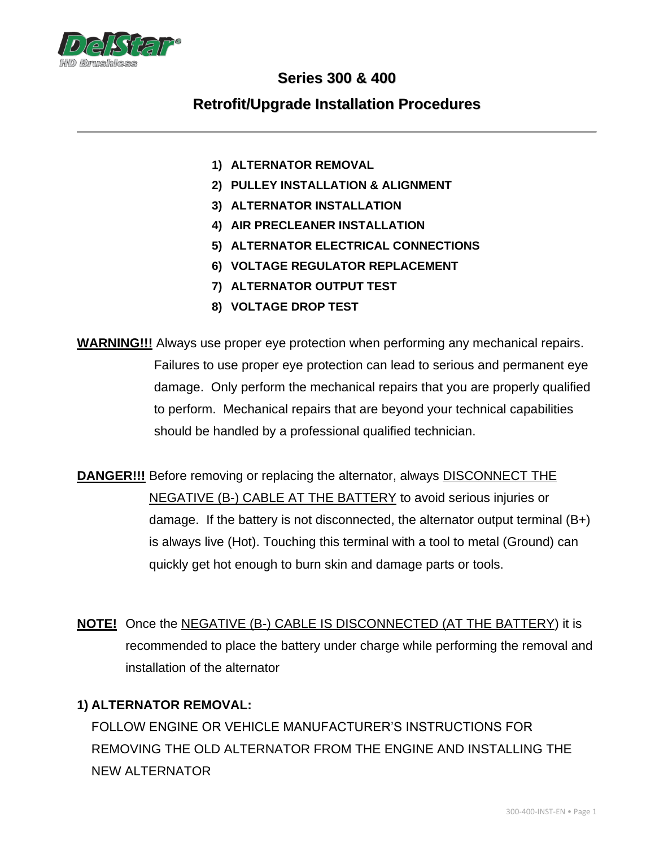

# **Series 300 & 400**

## **Retrofit/Upgrade Installation Procedures**

- **1) ALTERNATOR REMOVAL**
- **2) PULLEY INSTALLATION & ALIGNMENT**
- **3) ALTERNATOR INSTALLATION**
- **4) AIR PRECLEANER INSTALLATION**
- **5) ALTERNATOR ELECTRICAL CONNECTIONS**
- **6) VOLTAGE REGULATOR REPLACEMENT**
- **7) ALTERNATOR OUTPUT TEST**
- **8) VOLTAGE DROP TEST**

**WARNING!!!** Always use proper eye protection when performing any mechanical repairs. Failures to use proper eye protection can lead to serious and permanent eye damage. Only perform the mechanical repairs that you are properly qualified to perform. Mechanical repairs that are beyond your technical capabilities should be handled by a professional qualified technician.

**DANGER!!!** Before removing or replacing the alternator, always **DISCONNECT THE** NEGATIVE (B-) CABLE AT THE BATTERY to avoid serious injuries or damage. If the battery is not disconnected, the alternator output terminal (B+) is always live (Hot). Touching this terminal with a tool to metal (Ground) can quickly get hot enough to burn skin and damage parts or tools.

**NOTE!** Once the NEGATIVE (B-) CABLE IS DISCONNECTED (AT THE BATTERY) it is recommended to place the battery under charge while performing the removal and installation of the alternator

#### **1) ALTERNATOR REMOVAL:**

FOLLOW ENGINE OR VEHICLE MANUFACTURER'S INSTRUCTIONS FOR REMOVING THE OLD ALTERNATOR FROM THE ENGINE AND INSTALLING THE NEW ALTERNATOR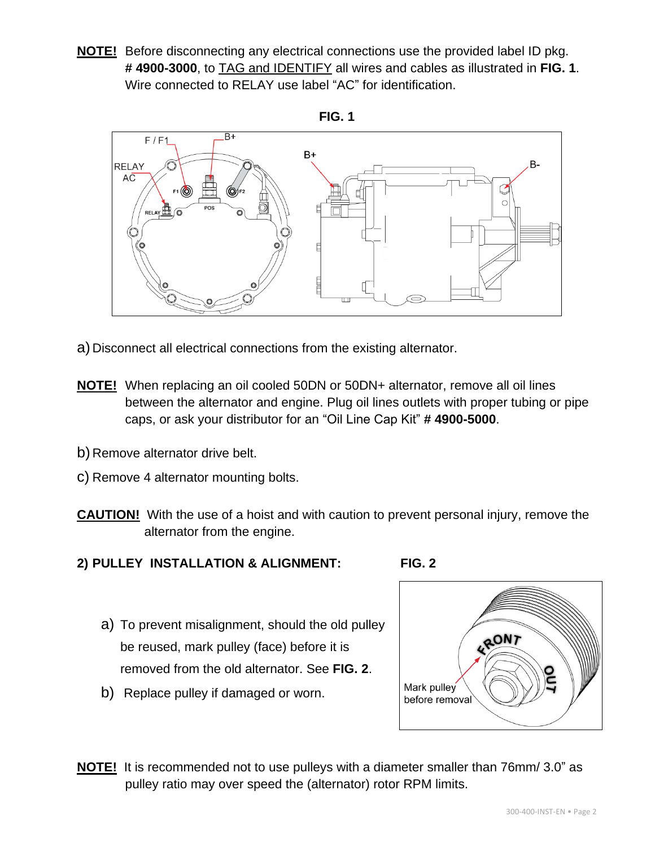**NOTE!** Before disconnecting any electrical connections use the provided label ID pkg. **# 4900-3000**, to TAG and IDENTIFY all wires and cables as illustrated in **FIG. 1**. Wire connected to RELAY use label "AC" for identification.





- a) Disconnect all electrical connections from the existing alternator.
- **NOTE!** When replacing an oil cooled 50DN or 50DN+ alternator, remove all oil lines between the alternator and engine. Plug oil lines outlets with proper tubing or pipe caps, or ask your distributor for an "Oil Line Cap Kit" **# 4900-5000**.
- b) Remove alternator drive belt.
- c) Remove 4 alternator mounting bolts.
- **CAUTION!** With the use of a hoist and with caution to prevent personal injury, remove the alternator from the engine.
- **2) PULLEY INSTALLATION & ALIGNMENT: FIG. 2**
	- a) To prevent misalignment, should the old pulley be reused, mark pulley (face) before it is removed from the old alternator. See **FIG. 2**.
	- b) Replace pulley if damaged or worn.



**NOTE!** It is recommended not to use pulleys with a diameter smaller than 76mm/ 3.0" as pulley ratio may over speed the (alternator) rotor RPM limits.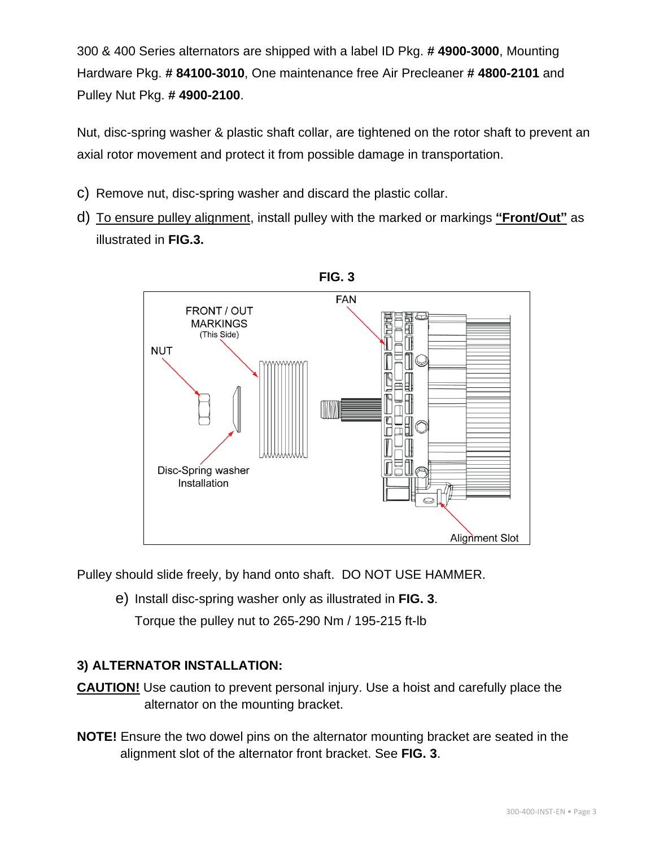300 & 400 Series alternators are shipped with a label ID Pkg. **# 4900-3000**, Mounting Hardware Pkg. **# 84100-3010**, One maintenance free Air Precleaner **# 4800-2101** and Pulley Nut Pkg. **# 4900-2100**.

Nut, disc-spring washer & plastic shaft collar, are tightened on the rotor shaft to prevent an axial rotor movement and protect it from possible damage in transportation.

- c) Remove nut, disc-spring washer and discard the plastic collar.
- d) To ensure pulley alignment, install pulley with the marked or markings **"Front/Out"** as illustrated in **FIG.3.**

![](_page_2_Figure_4.jpeg)

Pulley should slide freely, by hand onto shaft. DO NOT USE HAMMER.

e) Install disc-spring washer only as illustrated in **FIG. 3**.

Torque the pulley nut to 265-290 Nm / 195-215 ft-lb

#### **3) ALTERNATOR INSTALLATION:**

- **CAUTION!** Use caution to prevent personal injury. Use a hoist and carefully place the alternator on the mounting bracket.
- **NOTE!** Ensure the two dowel pins on the alternator mounting bracket are seated in the alignment slot of the alternator front bracket. See **FIG. 3**.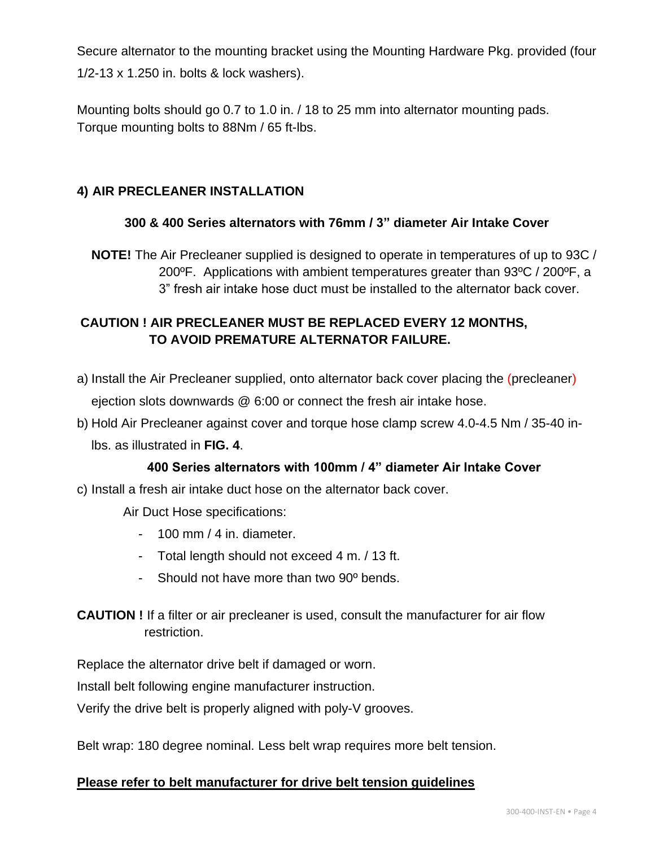Secure alternator to the mounting bracket using the Mounting Hardware Pkg. provided (four 1/2-13 x 1.250 in. bolts & lock washers).

Mounting bolts should go 0.7 to 1.0 in. / 18 to 25 mm into alternator mounting pads. Torque mounting bolts to 88Nm / 65 ft-lbs.

#### **4) AIR PRECLEANER INSTALLATION**

#### **300 & 400 Series alternators with 76mm / 3" diameter Air Intake Cover**

**NOTE!** The Air Precleaner supplied is designed to operate in temperatures of up to 93C / 200ºF. Applications with ambient temperatures greater than 93ºC / 200ºF, a 3" fresh air intake hose duct must be installed to the alternator back cover.

## **CAUTION ! AIR PRECLEANER MUST BE REPLACED EVERY 12 MONTHS, TO AVOID PREMATURE ALTERNATOR FAILURE.**

- a) Install the Air Precleaner supplied, onto alternator back cover placing the (precleaner) ejection slots downwards @ 6:00 or connect the fresh air intake hose.
- b) Hold Air Precleaner against cover and torque hose clamp screw 4.0-4.5 Nm / 35-40 inlbs. as illustrated in **FIG. 4**.

#### **400 Series alternators with 100mm / 4" diameter Air Intake Cover**

c) Install a fresh air intake duct hose on the alternator back cover.

Air Duct Hose specifications:

- 100 mm / 4 in. diameter.
- Total length should not exceed 4 m. / 13 ft.
- Should not have more than two 90º bends.
- **CAUTION !** If a filter or air precleaner is used, consult the manufacturer for air flow restriction.

Replace the alternator drive belt if damaged or worn.

Install belt following engine manufacturer instruction.

Verify the drive belt is properly aligned with poly-V grooves.

Belt wrap: 180 degree nominal. Less belt wrap requires more belt tension.

#### **Please refer to belt manufacturer for drive belt tension guidelines**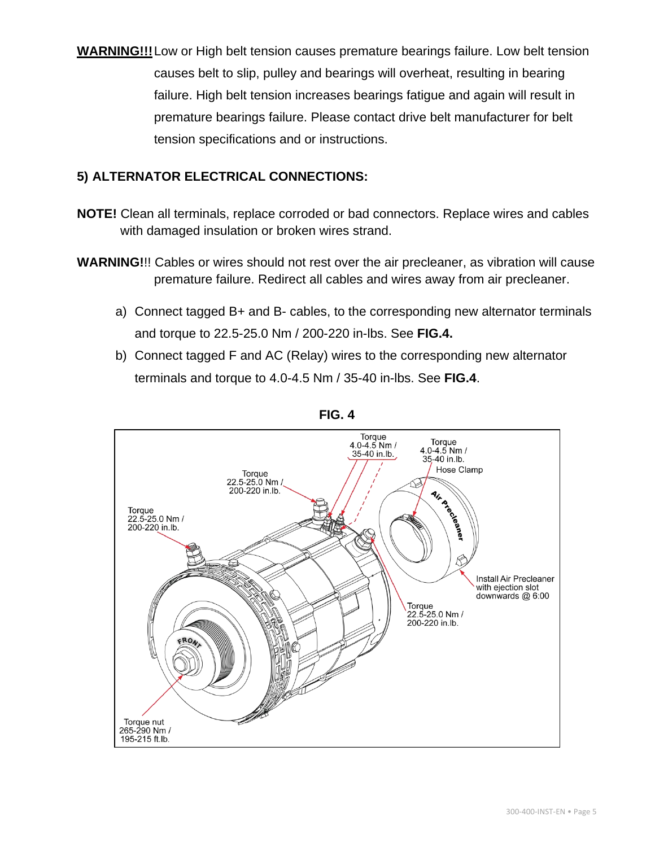**WARNING!!!**Low or High belt tension causes premature bearings failure. Low belt tension causes belt to slip, pulley and bearings will overheat, resulting in bearing failure. High belt tension increases bearings fatigue and again will result in premature bearings failure. Please contact drive belt manufacturer for belt tension specifications and or instructions.

#### **5) ALTERNATOR ELECTRICAL CONNECTIONS:**

- **NOTE!** Clean all terminals, replace corroded or bad connectors. Replace wires and cables with damaged insulation or broken wires strand.
- **WARNING!**!! Cables or wires should not rest over the air precleaner, as vibration will cause premature failure. Redirect all cables and wires away from air precleaner.
	- a) Connect tagged B+ and B- cables, to the corresponding new alternator terminals and torque to 22.5-25.0 Nm / 200-220 in-lbs. See **FIG.4.**
	- b) Connect tagged F and AC (Relay) wires to the corresponding new alternator terminals and torque to 4.0-4.5 Nm / 35-40 in-lbs. See **FIG.4**.

![](_page_4_Figure_6.jpeg)

![](_page_4_Figure_7.jpeg)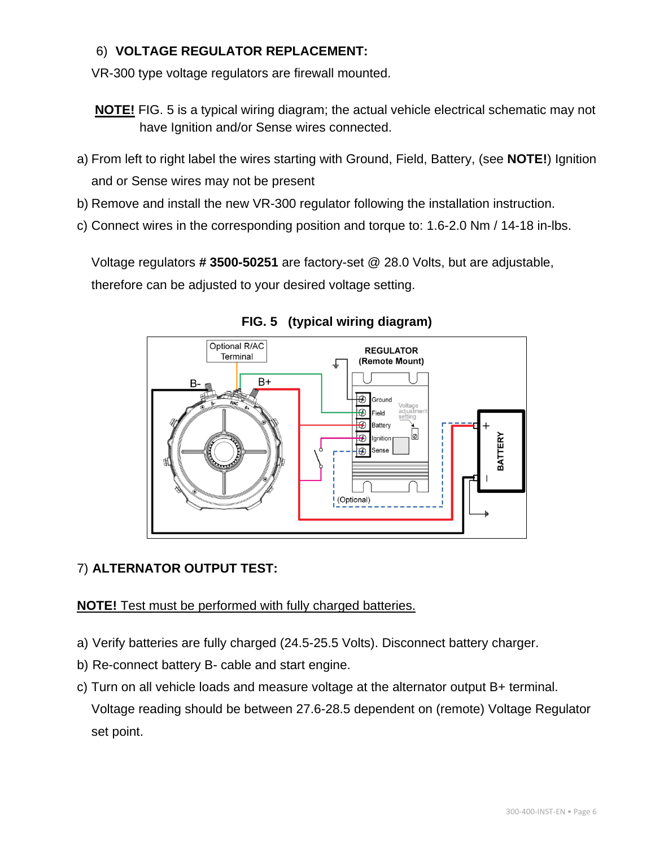#### 6) **VOLTAGE REGULATOR REPLACEMENT:**

VR-300 type voltage regulators are firewall mounted.

- **NOTE!** FIG. 5 is a typical wiring diagram; the actual vehicle electrical schematic may not have Ignition and/or Sense wires connected.
- a) From left to right label the wires starting with Ground, Field, Battery, (see **NOTE!**) Ignition and or Sense wires may not be present
- b) Remove and install the new VR-300 regulator following the installation instruction.
- c) Connect wires in the corresponding position and torque to: 1.6-2.0 Nm / 14-18 in-lbs.

Voltage regulators **# 3500-50251** are factory-set @ 28.0 Volts, but are adjustable,

therefore can be adjusted to your desired voltage setting.

![](_page_5_Figure_8.jpeg)

**FIG. 5 (typical wiring diagram)**

#### 7) **ALTERNATOR OUTPUT TEST:**

**NOTE!** Test must be performed with fully charged batteries.

- a) Verify batteries are fully charged (24.5-25.5 Volts). Disconnect battery charger.
- b) Re-connect battery B- cable and start engine.
- c) Turn on all vehicle loads and measure voltage at the alternator output B+ terminal. Voltage reading should be between 27.6-28.5 dependent on (remote) Voltage Regulator set point.